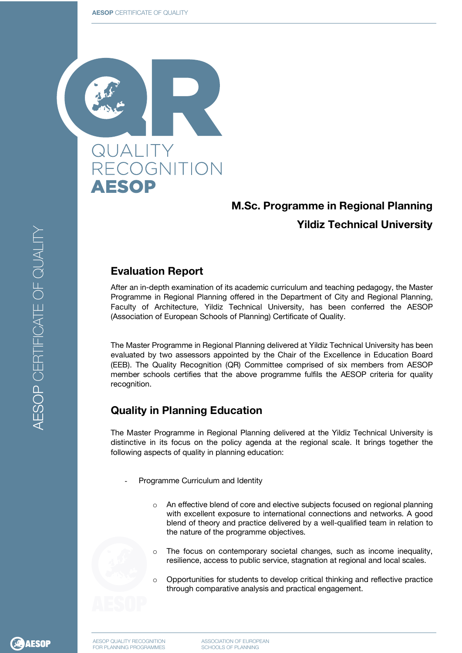

## **M.Sc. Programme in Regional Planning Yildiz Technical University**

## **Evaluation Report**

After an in-depth examination of its academic curriculum and teaching pedagogy, the Master Programme in Regional Planning offered in the Department of City and Regional Planning, Faculty of Architecture, Yildiz Technical University, has been conferred the AESOP (Association of European Schools of Planning) Certificate of Quality.

The Master Programme in Regional Planning delivered at Yildiz Technical University has been evaluated by two assessors appointed by the Chair of the Excellence in Education Board (EEB). The Quality Recognition (QR) Committee comprised of six members from AESOP member schools certifies that the above programme fulfils the AESOP criteria for quality recognition.

## **Quality in Planning Education**

The Master Programme in Regional Planning delivered at the Yildiz Technical University is distinctive in its focus on the policy agenda at the regional scale. It brings together the following aspects of quality in planning education:

- Programme Curriculum and Identity
	- An effective blend of core and elective subjects focused on regional planning with excellent exposure to international connections and networks. A good blend of theory and practice delivered by a well-qualified team in relation to the nature of the programme objectives.
	- The focus on contemporary societal changes, such as income inequality, resilience, access to public service, stagnation at regional and local scales.
	- o Opportunities for students to develop critical thinking and reflective practice through comparative analysis and practical engagement.

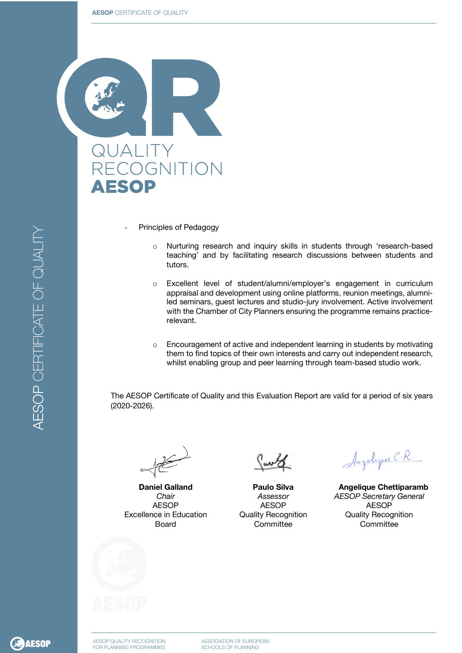#### **AESOP** CERTIFICATE OF QUALITY



- Principles of Pedagogy
	- o Nurturing research and inquiry skills in students through 'research-based teaching' and by facilitating research discussions between students and tutors.
	- o Excellent level of student/alumni/employer's engagement in curriculum appraisal and development using online platforms, reunion meetings, alumniled seminars, guest lectures and studio-jury involvement. Active involvement with the Chamber of City Planners ensuring the programme remains practicerelevant.
	- $\circ$  Encouragement of active and independent learning in students by motivating them to find topics of their own interests and carry out independent research, whilst enabling group and peer learning through team-based studio work.

The AESOP Certificate of Quality and this Evaluation Report are valid for a period of six years (2020-2026).

**Daniel Galland** *Chair* AESOP Excellence in Education Board

Carte

**Paulo Silva** *Assessor* AESOP Quality Recognition **Committee** 

Angelique C.R.

 **Angelique Chettiparamb** *AESOP Secretary General* AESOP Quality Recognition **Committee**